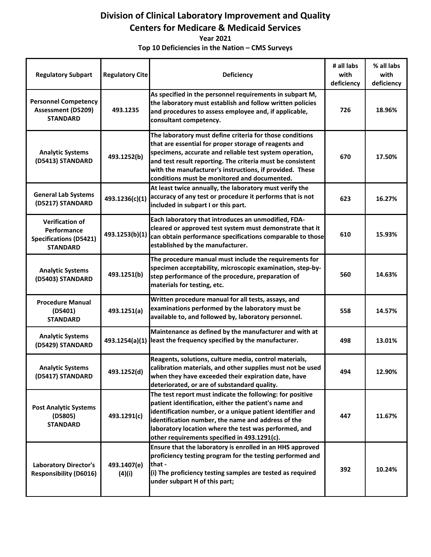## **Division of Clinical Laboratory Improvement and Quality Centers for Medicare & Medicaid Services**

**Year 2021** 

 **Top 10 Deficiencies in the Nation – CMS Surveys** 

| <b>Regulatory Subpart</b>                                                                 | <b>Regulatory Cite</b> | Deficiency                                                                                                                                                                                                                                                                                                                                             | # all labs<br>with<br>deficiency | % all labs<br>with<br>deficiency |
|-------------------------------------------------------------------------------------------|------------------------|--------------------------------------------------------------------------------------------------------------------------------------------------------------------------------------------------------------------------------------------------------------------------------------------------------------------------------------------------------|----------------------------------|----------------------------------|
| <b>Personnel Competency</b><br><b>Assessment (D5209)</b><br><b>STANDARD</b>               | 493.1235               | As specified in the personnel requirements in subpart M,<br>the laboratory must establish and follow written policies<br>and procedures to assess employee and, if applicable,<br>consultant competency.                                                                                                                                               | 726                              | 18.96%                           |
| <b>Analytic Systems</b><br>(D5413) STANDARD                                               | 493.1252(b)            | The laboratory must define criteria for those conditions<br>that are essential for proper storage of reagents and<br>specimens, accurate and reliable test system operation,<br>and test result reporting. The criteria must be consistent<br>with the manufacturer's instructions, if provided. These<br>conditions must be monitored and documented. | 670                              | 17.50%                           |
| <b>General Lab Systems</b><br>(D5217) STANDARD                                            | 493.1236(c)(1)         | At least twice annually, the laboratory must verify the<br>accuracy of any test or procedure it performs that is not<br>included in subpart I or this part.                                                                                                                                                                                            | 623                              | 16.27%                           |
| <b>Verification of</b><br>Performance<br><b>Specifications (D5421)</b><br><b>STANDARD</b> | 493.1253(b)(1)         | Each laboratory that introduces an unmodified, FDA-<br>cleared or approved test system must demonstrate that it<br>can obtain performance specifications comparable to those<br>established by the manufacturer.                                                                                                                                       | 610                              | 15.93%                           |
| <b>Analytic Systems</b><br>(D5403) STANDARD                                               | 493.1251(b)            | The procedure manual must include the requirements for<br>specimen acceptability, microscopic examination, step-by-<br>step performance of the procedure, preparation of<br>materials for testing, etc.                                                                                                                                                | 560                              | 14.63%                           |
| <b>Procedure Manual</b><br>(D5401)<br><b>STANDARD</b>                                     | 493.1251(a)            | Written procedure manual for all tests, assays, and<br>examinations performed by the laboratory must be<br>available to, and followed by, laboratory personnel.                                                                                                                                                                                        | 558                              | 14.57%                           |
| <b>Analytic Systems</b><br>(D5429) STANDARD                                               |                        | Maintenance as defined by the manufacturer and with at<br>493.1254(a)(1) least the frequency specified by the manufacturer.                                                                                                                                                                                                                            | 498                              | 13.01%                           |
| <b>Analytic Systems</b><br>(D5417) STANDARD                                               | 493.1252(d)            | Reagents, solutions, culture media, control materials,<br>calibration materials, and other supplies must not be used<br>when they have exceeded their expiration date, have<br>deteriorated, or are of substandard quality.                                                                                                                            | 494                              | 12.90%                           |
| <b>Post Analytic Systems</b><br>(D5805)<br><b>STANDARD</b>                                | 493.1291(c)            | The test report must indicate the following: for positive<br>patient identification, either the patient's name and<br>identification number, or a unique patient identifier and<br>identification number, the name and address of the<br>laboratory location where the test was performed, and<br>other requirements specified in 493.1291(c).         | 447                              | 11.67%                           |
| <b>Laboratory Director's</b><br><b>Responsibility (D6016)</b>                             | 493.1407(e)<br>(4)(i)  | Ensure that the laboratory is enrolled in an HHS approved<br>proficiency testing program for the testing performed and<br>that -<br>(i) The proficiency testing samples are tested as required<br>under subpart H of this part;                                                                                                                        | 392                              | 10.24%                           |